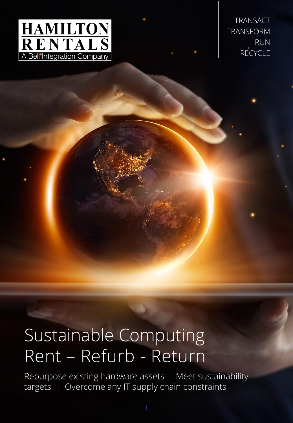

TRANSACT **TRANSFORM** RUN RECYCLE

# Sustainable Computing Rent – Refurb - Return

Repurpose existing hardware assets | Meet sustainability targets | Overcome any IT supply chain constraints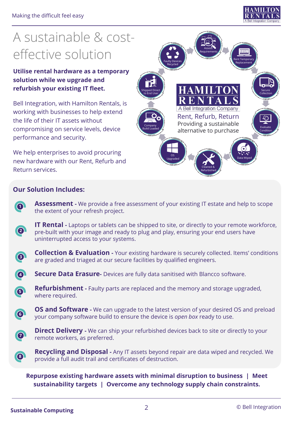

## A sustainable & costeffective solution

**Utilise rental hardware as a temporary solution while we upgrade and refurbish your existing IT fleet.**

Bell Integration, with Hamilton Rentals, is working with businesses to help extend the life of their IT assets without compromising on service levels, device performance and security.

We help enterprises to avoid procuring new hardware with our Rent, Refurb and Return services.



#### **Our Solution Includes:**

**Assessment -** We provide a free assessment of your existing IT estate and help to scope the extent of your refresh project.

**IT Rental -** Laptops or tablets can be shipped to site, or directly to your remote workforce, pre-built with your image and ready to plug and play, ensuring your end users have uninterrupted access to your systems.



**5**

**6**

**1**

**2**

**Collection & Evaluation -** Your existing hardware is securely collected. Items' conditions are graded and triaged at our secure facilities by qualified engineers.



**Refurbishment -** Faulty parts are replaced and the memory and storage upgraded, where required.

**OS and Software -** We can upgrade to the latest version of your desired OS and preload your company software build to ensure the device is *open box* ready to use.



**8**

**Direct Delivery -** We can ship your refurbished devices back to site or directly to your remote workers, as preferred.

**Recycling and Disposal -** Any IT assets beyond repair are data wiped and recycled. We provide a full audit trail and certificates of destruction.

**Repurpose existing hardware assets with minimal disruption to business | Meet sustainability targets | Overcome any technology supply chain constraints.**